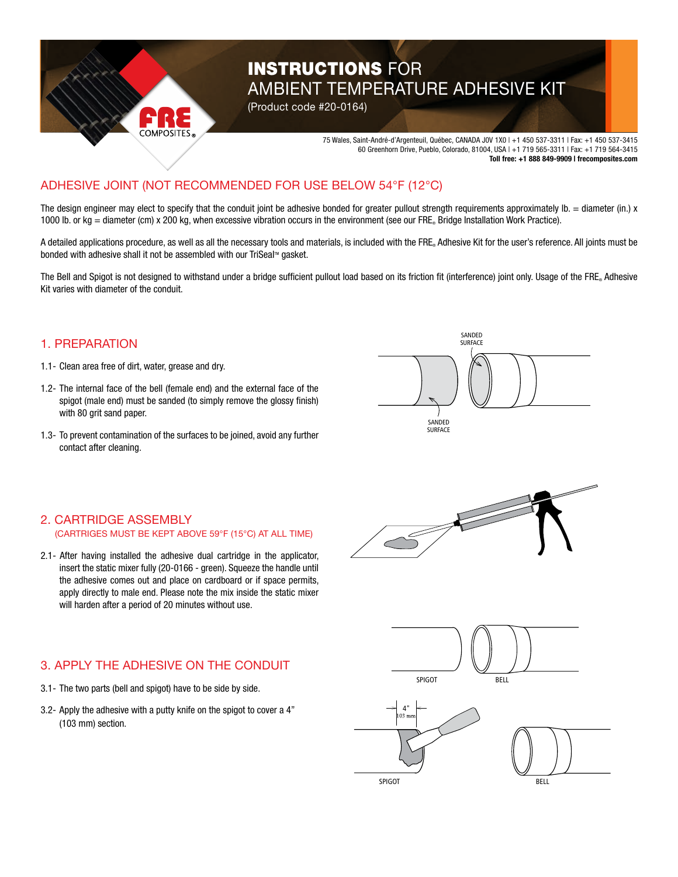

# **INSTRUCTIONS FOR** AMBIENT TEMPERATURE ADHESIVE KIT

(Product code #20-0164)

75 Wales, Saint-André-d'Argenteuil, Québec, CANADA J0V 1X0 | +1 450 537-3311 | Fax: +1 450 537-3415 60 Greenhorn Drive, Pueblo, Colorado, 81004, USA | +1 719 565-3311 | Fax: +1 719 564-3415 **Toll free: +1 888 849-9909 | frecomposites.com**

#### **IFSIVE** ADHESIVE JOINT (NOT RECOMMENDED FOR USE BELOW 54°F (12°C)

The design engineer may elect to specify that the conduit joint be adhesive bonded for greater pullout strength requirements approximately  $Ib =$  diameter (in.) x 1000 lb. or kg = diameter (cm) x 200 kg, when excessive vibration occurs in the environment (see our FRE. Bridge Installation Work Practice).

A detailed applications procedure, as well as all the necessary tools and materials, is included with the FRE. Adhesive Kit for the user's reference. All joints must be bonded with adhesive shall it not be assembled with our TriSeal™ gasket.

The Bell and Spigot is not designed to withstand under a bridge sufficient pullout load based on its friction fit (interference) joint only. Usage of the FRE® Adhesive Kit varies with diameter of the conduit.

### 1. PREPARATION

- 1.1- Clean area free of dirt, water, grease and dry.
- 1.2- The internal face of the bell (female end) and the external face of the spigot (male end) must be sanded (to simply remove the glossy finish) with 80 grit sand paper.
- 1.3- To prevent contamination of the surfaces to be joined, avoid any further contact after cleaning.



#### 2. CARTRIDGE ASSEMBLY (CARTRIGES MUST BE KEPT ABOVE 59°F (15°C) AT ALL TIME)

2.1- After having installed the adhesive dual cartridge in the applicator, insert the static mixer fully (20-0166 - green). Squeeze the handle until the adhesive comes out and place on cardboard or if space permits, apply directly to male end. Please note the mix inside the static mixer will harden after a period of 20 minutes without use.

## 3. APPLY THE ADHESIVE ON THE CONDUIT

- 3.1- The two parts (bell and spigot) have to be side by side.
- 3.2- Apply the adhesive with a putty knife on the spigot to cover a 4" (103 mm) section.